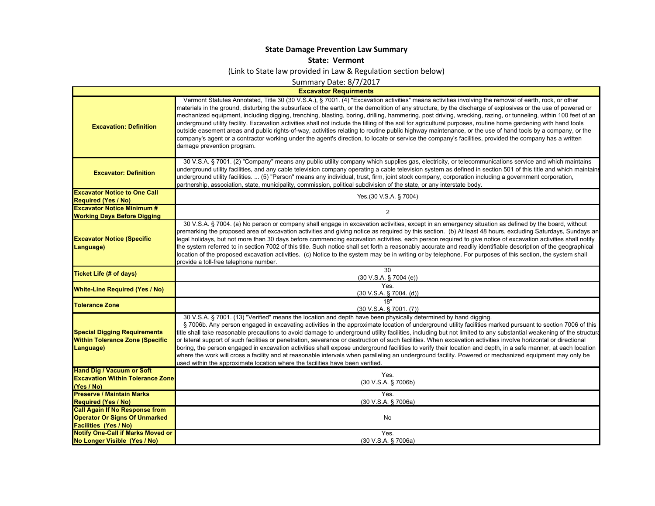## **State Damage Prevention Law Summary**

## **State: Vermont**

(Link to State law provided in Law & Regulation section below)

Summary Date: 8/7/2017

**Excavator Requirments**

 $\blacksquare$ 

| <b>Excavation: Definition</b>                                                              | Vermont Statutes Annotated, Title 30 (30 V.S.A.), § 7001. (4) "Excavation activities" means activities involving the removal of earth, rock, or other<br>materials in the ground, disturbing the subsurface of the earth, or the demolition of any structure, by the discharge of explosives or the use of powered or<br>mechanized equipment, including digging, trenching, blasting, boring, drilling, hammering, post driving, wrecking, razing, or tunneling, within 100 feet of an<br>underground utility facility. Excavation activities shall not include the tilling of the soil for agricultural purposes, routine home gardening with hand tools<br>outside easement areas and public rights-of-way, activities relating to routine public highway maintenance, or the use of hand tools by a company, or the<br>company's agent or a contractor working under the agent's direction, to locate or service the company's facilities, provided the company has a written<br>damage prevention program.                     |
|--------------------------------------------------------------------------------------------|-------------------------------------------------------------------------------------------------------------------------------------------------------------------------------------------------------------------------------------------------------------------------------------------------------------------------------------------------------------------------------------------------------------------------------------------------------------------------------------------------------------------------------------------------------------------------------------------------------------------------------------------------------------------------------------------------------------------------------------------------------------------------------------------------------------------------------------------------------------------------------------------------------------------------------------------------------------------------------------------------------------------------------------|
| <b>Excavator: Definition</b>                                                               | 30 V.S.A. § 7001. (2) "Company" means any public utility company which supplies gas, electricity, or telecommunications service and which maintains<br>underground utility facilities, and any cable television company operating a cable television system as defined in section 501 of this title and which maintains<br>underground utility facilities.  (5) "Person" means any individual, trust, firm, joint stock company, corporation including a government corporation,<br>partnership, association, state, municipality, commission, political subdivision of the state, or any interstate body.                                                                                                                                                                                                                                                                                                                                                                                                                          |
| <b>Excavator Notice to One Call</b>                                                        | Yes.(30 V.S.A. § 7004)                                                                                                                                                                                                                                                                                                                                                                                                                                                                                                                                                                                                                                                                                                                                                                                                                                                                                                                                                                                                              |
| <b>Required (Yes / No)</b><br><b>Excavator Notice Minimum #</b>                            |                                                                                                                                                                                                                                                                                                                                                                                                                                                                                                                                                                                                                                                                                                                                                                                                                                                                                                                                                                                                                                     |
| <b>Working Days Before Digging</b>                                                         | $\overline{2}$                                                                                                                                                                                                                                                                                                                                                                                                                                                                                                                                                                                                                                                                                                                                                                                                                                                                                                                                                                                                                      |
| <b>Excavator Notice (Specific</b><br>Language)                                             | 30 V.S.A. § 7004. (a) No person or company shall engage in excavation activities, except in an emergency situation as defined by the board, without<br>premarking the proposed area of excavation activities and giving notice as required by this section. (b) At least 48 hours, excluding Saturdays, Sundays an<br>legal holidays, but not more than 30 days before commencing excavation activities, each person required to give notice of excavation activities shall notify<br>the system referred to in section 7002 of this title. Such notice shall set forth a reasonably accurate and readily identifiable description of the geographical<br>location of the proposed excavation activities. (c) Notice to the system may be in writing or by telephone. For purposes of this section, the system shall<br>provide a toll-free telephone number.                                                                                                                                                                       |
| Ticket Life (# of days)                                                                    | 30                                                                                                                                                                                                                                                                                                                                                                                                                                                                                                                                                                                                                                                                                                                                                                                                                                                                                                                                                                                                                                  |
|                                                                                            | (30 V.S.A. § 7004 (e))<br>Yes                                                                                                                                                                                                                                                                                                                                                                                                                                                                                                                                                                                                                                                                                                                                                                                                                                                                                                                                                                                                       |
| <b>White-Line Required (Yes / No)</b>                                                      | (30 V.S.A. § 7004. (d))                                                                                                                                                                                                                                                                                                                                                                                                                                                                                                                                                                                                                                                                                                                                                                                                                                                                                                                                                                                                             |
| <b>Tolerance Zone</b>                                                                      | 18"                                                                                                                                                                                                                                                                                                                                                                                                                                                                                                                                                                                                                                                                                                                                                                                                                                                                                                                                                                                                                                 |
|                                                                                            | $(30 V.S.A.$ § 7001. $(7)$ )                                                                                                                                                                                                                                                                                                                                                                                                                                                                                                                                                                                                                                                                                                                                                                                                                                                                                                                                                                                                        |
| <b>Special Digging Requirements</b><br><b>Within Tolerance Zone (Specific</b><br>Language) | 30 V.S.A. § 7001. (13) "Verified" means the location and depth have been physically determined by hand digging.<br>§ 7006b. Any person engaged in excavating activities in the approximate location of underground utility facilities marked pursuant to section 7006 of this<br>title shall take reasonable precautions to avoid damage to underground utility facilities, including but not limited to any substantial weakening of the structura<br>or lateral support of such facilities or penetration, severance or destruction of such facilities. When excavation activities involve horizontal or directional<br>boring, the person engaged in excavation activities shall expose underground facilities to verify their location and depth, in a safe manner, at each location<br>where the work will cross a facility and at reasonable intervals when paralleling an underground facility. Powered or mechanized equipment may only be<br>used within the approximate location where the facilities have been verified. |
| <b>Hand Dig / Vacuum or Soft</b>                                                           | Yes.                                                                                                                                                                                                                                                                                                                                                                                                                                                                                                                                                                                                                                                                                                                                                                                                                                                                                                                                                                                                                                |
| <b>Excavation Within Tolerance Zone</b>                                                    | (30 V.S.A. § 7006b)                                                                                                                                                                                                                                                                                                                                                                                                                                                                                                                                                                                                                                                                                                                                                                                                                                                                                                                                                                                                                 |
| (Yes / No)<br><b>Preserve / Maintain Marks</b>                                             | Yes.                                                                                                                                                                                                                                                                                                                                                                                                                                                                                                                                                                                                                                                                                                                                                                                                                                                                                                                                                                                                                                |
| <b>Required (Yes / No)</b>                                                                 | (30 V.S.A. § 7006a)                                                                                                                                                                                                                                                                                                                                                                                                                                                                                                                                                                                                                                                                                                                                                                                                                                                                                                                                                                                                                 |
| <b>Call Again If No Response from</b>                                                      |                                                                                                                                                                                                                                                                                                                                                                                                                                                                                                                                                                                                                                                                                                                                                                                                                                                                                                                                                                                                                                     |
| <b>Operator Or Signs Of Unmarked</b>                                                       | No                                                                                                                                                                                                                                                                                                                                                                                                                                                                                                                                                                                                                                                                                                                                                                                                                                                                                                                                                                                                                                  |
| <b>Facilities (Yes / No)</b>                                                               |                                                                                                                                                                                                                                                                                                                                                                                                                                                                                                                                                                                                                                                                                                                                                                                                                                                                                                                                                                                                                                     |
| <b>Notify One-Call if Marks Moved or</b>                                                   | Yes.                                                                                                                                                                                                                                                                                                                                                                                                                                                                                                                                                                                                                                                                                                                                                                                                                                                                                                                                                                                                                                |
| No Longer Visible (Yes / No)                                                               | (30 V.S.A. § 7006a)                                                                                                                                                                                                                                                                                                                                                                                                                                                                                                                                                                                                                                                                                                                                                                                                                                                                                                                                                                                                                 |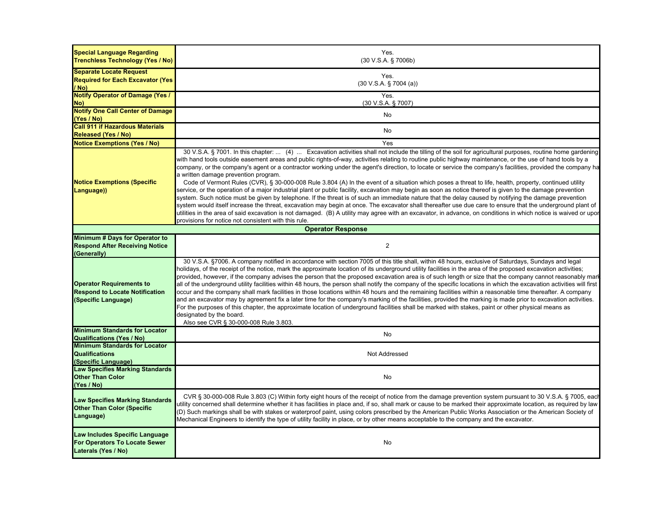| <b>Special Language Regarding</b><br><b>Trenchless Technology (Yes / No)</b>                    | Yes.<br>(30 V.S.A. § 7006b)                                                                                                                                                                                                                                                                                                                                                                                                                                                                                                                                                                                                                                                                                                                                                                                                                                                                                                                                                                                                                                                                                                                                                                                                                                                                                                                                                                              |
|-------------------------------------------------------------------------------------------------|----------------------------------------------------------------------------------------------------------------------------------------------------------------------------------------------------------------------------------------------------------------------------------------------------------------------------------------------------------------------------------------------------------------------------------------------------------------------------------------------------------------------------------------------------------------------------------------------------------------------------------------------------------------------------------------------------------------------------------------------------------------------------------------------------------------------------------------------------------------------------------------------------------------------------------------------------------------------------------------------------------------------------------------------------------------------------------------------------------------------------------------------------------------------------------------------------------------------------------------------------------------------------------------------------------------------------------------------------------------------------------------------------------|
| <b>Separate Locate Request</b><br><b>Required for Each Excavator (Yes)</b><br>/ No)             | Yes.<br>(30 V.S.A. § 7004 (a))                                                                                                                                                                                                                                                                                                                                                                                                                                                                                                                                                                                                                                                                                                                                                                                                                                                                                                                                                                                                                                                                                                                                                                                                                                                                                                                                                                           |
| <b>Notify Operator of Damage (Yes /</b><br>No)                                                  | Yes.<br>(30 V.S.A. § 7007)                                                                                                                                                                                                                                                                                                                                                                                                                                                                                                                                                                                                                                                                                                                                                                                                                                                                                                                                                                                                                                                                                                                                                                                                                                                                                                                                                                               |
| <b>Notify One Call Center of Damage</b><br>(Yes / No)                                           | <b>No</b>                                                                                                                                                                                                                                                                                                                                                                                                                                                                                                                                                                                                                                                                                                                                                                                                                                                                                                                                                                                                                                                                                                                                                                                                                                                                                                                                                                                                |
| <b>Call 911 if Hazardous Materials</b>                                                          | No                                                                                                                                                                                                                                                                                                                                                                                                                                                                                                                                                                                                                                                                                                                                                                                                                                                                                                                                                                                                                                                                                                                                                                                                                                                                                                                                                                                                       |
| <b>Released (Yes / No)</b>                                                                      |                                                                                                                                                                                                                                                                                                                                                                                                                                                                                                                                                                                                                                                                                                                                                                                                                                                                                                                                                                                                                                                                                                                                                                                                                                                                                                                                                                                                          |
| <b>Notice Exemptions (Yes / No)</b>                                                             | Yes                                                                                                                                                                                                                                                                                                                                                                                                                                                                                                                                                                                                                                                                                                                                                                                                                                                                                                                                                                                                                                                                                                                                                                                                                                                                                                                                                                                                      |
| <b>Notice Exemptions (Specific</b><br>Language))                                                | 30 V.S.A. § 7001. In this chapter:  (4)  Excavation activities shall not include the tilling of the soil for agricultural purposes, routine home gardening<br>with hand tools outside easement areas and public rights-of-way, activities relating to routine public highway maintenance, or the use of hand tools by a<br>company, or the company's agent or a contractor working under the agent's direction, to locate or service the company's facilities, provided the company ha<br>a written damage prevention program.<br>Code of Vermont Rules (CVR), § 30-000-008 Rule 3.804 (A) In the event of a situation which poses a threat to life, health, property, continued utility<br>service, or the operation of a major industrial plant or public facility, excavation may begin as soon as notice thereof is given to the damage prevention<br>system. Such notice must be given by telephone. If the threat is of such an immediate nature that the delay caused by notifying the damage prevention<br>system would itself increase the threat, excavation may begin at once. The excavator shall thereafter use due care to ensure that the underground plant of<br>utilities in the area of said excavation is not damaged. (B) A utility may agree with an excavator, in advance, on conditions in which notice is waived or upon<br>provisions for notice not consistent with this rule. |
|                                                                                                 | <b>Operator Response</b>                                                                                                                                                                                                                                                                                                                                                                                                                                                                                                                                                                                                                                                                                                                                                                                                                                                                                                                                                                                                                                                                                                                                                                                                                                                                                                                                                                                 |
| Minimum # Days for Operator to<br><b>Respond After Receiving Notice</b><br>(Generally)          | $\overline{2}$                                                                                                                                                                                                                                                                                                                                                                                                                                                                                                                                                                                                                                                                                                                                                                                                                                                                                                                                                                                                                                                                                                                                                                                                                                                                                                                                                                                           |
| <b>Operator Requirements to</b><br><b>Respond to Locate Notification</b><br>(Specific Language) | 30 V.S.A. §7006. A company notified in accordance with section 7005 of this title shall, within 48 hours, exclusive of Saturdays, Sundays and legal<br>holidays, of the receipt of the notice, mark the approximate location of its underground utility facilities in the area of the proposed excavation activities;<br>provided, however, if the company advises the person that the proposed excavation area is of such length or size that the company cannot reasonably mark<br>all of the underground utility facilities within 48 hours, the person shall notify the company of the specific locations in which the excavation activities will first<br>occur and the company shall mark facilities in those locations within 48 hours and the remaining facilities within a reasonable time thereafter. A company<br>and an excavator may by agreement fix a later time for the company's marking of the facilities, provided the marking is made prior to excavation activities.<br>For the purposes of this chapter, the approximate location of underground facilities shall be marked with stakes, paint or other physical means as<br>designated by the board.<br>Also see CVR § 30-000-008 Rule 3.803.                                                                                                                                                                                     |
| <b>Minimum Standards for Locator</b><br><b>Qualifications (Yes / No)</b>                        | No                                                                                                                                                                                                                                                                                                                                                                                                                                                                                                                                                                                                                                                                                                                                                                                                                                                                                                                                                                                                                                                                                                                                                                                                                                                                                                                                                                                                       |
| <b>Minimum Standards for Locator</b><br><b>Qualifications</b><br>(Specific Language)            | Not Addressed                                                                                                                                                                                                                                                                                                                                                                                                                                                                                                                                                                                                                                                                                                                                                                                                                                                                                                                                                                                                                                                                                                                                                                                                                                                                                                                                                                                            |
| <b>Law Specifies Marking Standards</b><br><b>Other Than Color</b><br>(Yes / No)                 | No                                                                                                                                                                                                                                                                                                                                                                                                                                                                                                                                                                                                                                                                                                                                                                                                                                                                                                                                                                                                                                                                                                                                                                                                                                                                                                                                                                                                       |
| <b>Law Specifies Marking Standards</b><br><b>Other Than Color (Specific</b><br>Language)        | CVR § 30-000-008 Rule 3.803 (C) Within forty eight hours of the receipt of notice from the damage prevention system pursuant to 30 V.S.A. § 7005, each<br>utility concerned shall determine whether it has facilities in place and, if so, shall mark or cause to be marked their approximate location, as required by law<br>(D) Such markings shall be with stakes or waterproof paint, using colors prescribed by the American Public Works Association or the American Society of<br>Mechanical Engineers to identify the type of utility facility in place, or by other means acceptable to the company and the excavator.                                                                                                                                                                                                                                                                                                                                                                                                                                                                                                                                                                                                                                                                                                                                                                          |
| Law Includes Specific Language<br>For Operators To Locate Sewer<br>Laterals (Yes / No)          | No                                                                                                                                                                                                                                                                                                                                                                                                                                                                                                                                                                                                                                                                                                                                                                                                                                                                                                                                                                                                                                                                                                                                                                                                                                                                                                                                                                                                       |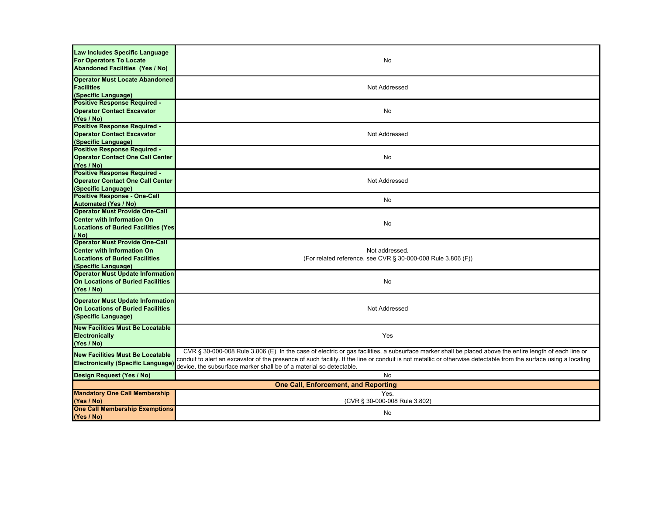| Law Includes Specific Language<br><b>For Operators To Locate</b><br><b>Abandoned Facilities (Yes / No)</b>                                 | No                                                                                                                                                                                                                                                                                                                                                                                                |  |
|--------------------------------------------------------------------------------------------------------------------------------------------|---------------------------------------------------------------------------------------------------------------------------------------------------------------------------------------------------------------------------------------------------------------------------------------------------------------------------------------------------------------------------------------------------|--|
| <b>Operator Must Locate Abandoned</b><br><b>Facilities</b><br>(Specific Language)                                                          | Not Addressed                                                                                                                                                                                                                                                                                                                                                                                     |  |
| <b>Positive Response Required -</b><br><b>Operator Contact Excavator</b><br>(Yes / No)                                                     | No                                                                                                                                                                                                                                                                                                                                                                                                |  |
| <b>Positive Response Required -</b><br><b>Operator Contact Excavator</b><br>(Specific Language)                                            | Not Addressed                                                                                                                                                                                                                                                                                                                                                                                     |  |
| <b>Positive Response Required -</b><br><b>Operator Contact One Call Center</b><br>(Yes / No)                                               | No                                                                                                                                                                                                                                                                                                                                                                                                |  |
| <b>Positive Response Required -</b><br><b>Operator Contact One Call Center</b><br>(Specific Language)                                      | Not Addressed                                                                                                                                                                                                                                                                                                                                                                                     |  |
| <b>Positive Response - One-Call</b><br><b>Automated (Yes / No)</b>                                                                         | No                                                                                                                                                                                                                                                                                                                                                                                                |  |
| <b>Operator Must Provide One-Call</b><br><b>Center with Information On</b><br><b>Locations of Buried Facilities (Yes)</b><br>/ No)         | No                                                                                                                                                                                                                                                                                                                                                                                                |  |
| <b>Operator Must Provide One-Call</b><br><b>Center with Information On</b><br><b>Locations of Buried Facilities</b><br>(Specific Language) | Not addressed.<br>(For related reference, see CVR § 30-000-008 Rule 3.806 (F))                                                                                                                                                                                                                                                                                                                    |  |
| <b>Operator Must Update Information</b><br><b>On Locations of Buried Facilities</b><br>(Yes / No)                                          | No                                                                                                                                                                                                                                                                                                                                                                                                |  |
| <b>Operator Must Update Information</b><br><b>On Locations of Buried Facilities</b><br>(Specific Language)                                 | Not Addressed                                                                                                                                                                                                                                                                                                                                                                                     |  |
| <b>New Facilities Must Be Locatable</b><br><b>Electronically</b><br>(Yes / No)                                                             | Yes                                                                                                                                                                                                                                                                                                                                                                                               |  |
| <b>New Facilities Must Be Locatable</b><br><b>Electronically (Specific Language)</b>                                                       | CVR § 30-000-008 Rule 3.806 (E) In the case of electric or gas facilities, a subsurface marker shall be placed above the entire length of each line or<br>conduit to alert an excavator of the presence of such facility. If the line or conduit is not metallic or otherwise detectable from the surface using a locating<br>device, the subsurface marker shall be of a material so detectable. |  |
| Design Request (Yes / No)                                                                                                                  | No                                                                                                                                                                                                                                                                                                                                                                                                |  |
| One Call, Enforcement, and Reporting                                                                                                       |                                                                                                                                                                                                                                                                                                                                                                                                   |  |
| <b>Mandatory One Call Membership</b><br>(Yes / No)                                                                                         | Yes.<br>(CVR § 30-000-008 Rule 3.802)                                                                                                                                                                                                                                                                                                                                                             |  |
| <b>One Call Membership Exemptions</b><br>(Yes / No)                                                                                        | No                                                                                                                                                                                                                                                                                                                                                                                                |  |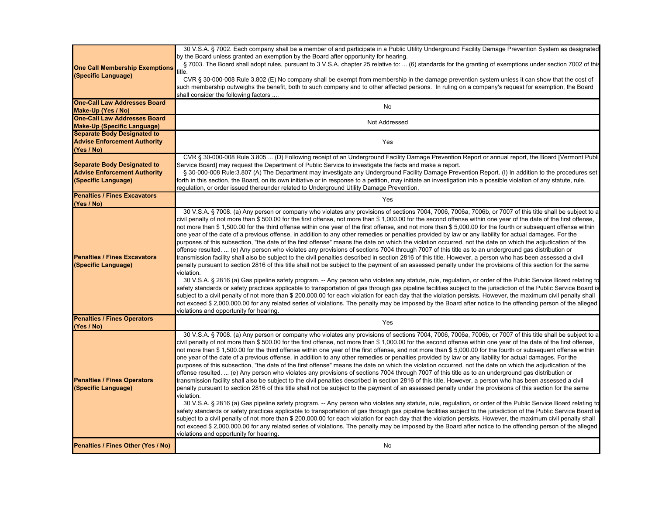| <b>One Call Membership Exemptions</b><br>(Specific Language)                                     | 30 V.S.A. § 7002. Each company shall be a member of and participate in a Public Utility Underground Facility Damage Prevention System as designated<br>by the Board unless granted an exemption by the Board after opportunity for hearing.<br>§ 7003. The Board shall adopt rules, pursuant to 3 V.S.A. chapter 25 relative to:  (6) standards for the granting of exemptions under section 7002 of this<br>title.<br>CVR § 30-000-008 Rule 3.802 (E) No company shall be exempt from membership in the damage prevention system unless it can show that the cost of<br>such membership outweighs the benefit, both to such company and to other affected persons. In ruling on a company's request for exemption, the Board<br>shall consider the following factors                                                                                                                                                                                                                                                                                                                                                                                                                                                                                                                                                                                                                                                                                                                                                                                                                                                                                                                                                                                                                                                                                                                                                                                                                                                                               |
|--------------------------------------------------------------------------------------------------|-----------------------------------------------------------------------------------------------------------------------------------------------------------------------------------------------------------------------------------------------------------------------------------------------------------------------------------------------------------------------------------------------------------------------------------------------------------------------------------------------------------------------------------------------------------------------------------------------------------------------------------------------------------------------------------------------------------------------------------------------------------------------------------------------------------------------------------------------------------------------------------------------------------------------------------------------------------------------------------------------------------------------------------------------------------------------------------------------------------------------------------------------------------------------------------------------------------------------------------------------------------------------------------------------------------------------------------------------------------------------------------------------------------------------------------------------------------------------------------------------------------------------------------------------------------------------------------------------------------------------------------------------------------------------------------------------------------------------------------------------------------------------------------------------------------------------------------------------------------------------------------------------------------------------------------------------------------------------------------------------------------------------------------------------------|
| <b>One-Call Law Addresses Board</b>                                                              | No                                                                                                                                                                                                                                                                                                                                                                                                                                                                                                                                                                                                                                                                                                                                                                                                                                                                                                                                                                                                                                                                                                                                                                                                                                                                                                                                                                                                                                                                                                                                                                                                                                                                                                                                                                                                                                                                                                                                                                                                                                                  |
| Make-Up (Yes / No)<br><b>One-Call Law Addresses Board</b>                                        |                                                                                                                                                                                                                                                                                                                                                                                                                                                                                                                                                                                                                                                                                                                                                                                                                                                                                                                                                                                                                                                                                                                                                                                                                                                                                                                                                                                                                                                                                                                                                                                                                                                                                                                                                                                                                                                                                                                                                                                                                                                     |
| <b>Make-Up (Specific Language)</b>                                                               | Not Addressed                                                                                                                                                                                                                                                                                                                                                                                                                                                                                                                                                                                                                                                                                                                                                                                                                                                                                                                                                                                                                                                                                                                                                                                                                                                                                                                                                                                                                                                                                                                                                                                                                                                                                                                                                                                                                                                                                                                                                                                                                                       |
| <b>Separate Body Designated to</b>                                                               |                                                                                                                                                                                                                                                                                                                                                                                                                                                                                                                                                                                                                                                                                                                                                                                                                                                                                                                                                                                                                                                                                                                                                                                                                                                                                                                                                                                                                                                                                                                                                                                                                                                                                                                                                                                                                                                                                                                                                                                                                                                     |
| <b>Advise Enforcement Authority</b><br>(Yes / No)                                                | Yes                                                                                                                                                                                                                                                                                                                                                                                                                                                                                                                                                                                                                                                                                                                                                                                                                                                                                                                                                                                                                                                                                                                                                                                                                                                                                                                                                                                                                                                                                                                                                                                                                                                                                                                                                                                                                                                                                                                                                                                                                                                 |
| <b>Separate Body Designated to</b><br><b>Advise Enforcement Authority</b><br>(Specific Language) | CVR § 30-000-008 Rule 3.805  (D) Following receipt of an Underground Facility Damage Prevention Report or annual report, the Board [Vermont Publi<br>Service Board] may request the Department of Public Service to investigate the facts and make a report.<br>§ 30-000-008 Rule:3.807 (A) The Department may investigate any Underground Facility Damage Prevention Report. (I) In addition to the procedures set<br>forth in this section, the Board, on its own initiative or in response to a petition, may initiate an investigation into a possible violation of any statute, rule,<br>regulation, or order issued thereunder related to Underground Utility Damage Prevention.                                                                                                                                                                                                                                                                                                                                                                                                                                                                                                                                                                                                                                                                                                                                                                                                                                                                                                                                                                                                                                                                                                                                                                                                                                                                                                                                                              |
| <b>Penalties / Fines Excavators</b><br>(Yes / No)                                                | Yes                                                                                                                                                                                                                                                                                                                                                                                                                                                                                                                                                                                                                                                                                                                                                                                                                                                                                                                                                                                                                                                                                                                                                                                                                                                                                                                                                                                                                                                                                                                                                                                                                                                                                                                                                                                                                                                                                                                                                                                                                                                 |
| <b>Penalties / Fines Excavators</b><br>(Specific Language)                                       | 30 V.S.A. § 7008. (a) Any person or company who violates any provisions of sections 7004, 7006, 7006a, 7006b, or 7007 of this title shall be subject to a<br>civil penalty of not more than \$ 500.00 for the first offense, not more than \$ 1,000.00 for the second offense within one year of the date of the first offense,<br>not more than \$1,500.00 for the third offense within one year of the first offense, and not more than \$5,000.00 for the fourth or subsequent offense within<br>one year of the date of a previous offense, in addition to any other remedies or penalties provided by law or any liability for actual damages. For the<br>purposes of this subsection, "the date of the first offense" means the date on which the violation occurred, not the date on which the adjudication of the<br>offense resulted. … (e) Any person who violates any provisions of sections 7004 through 7007 of this title as to an underground gas distribution or<br>transmission facility shall also be subject to the civil penalties described in section 2816 of this title. However, a person who has been assessed a civil<br>penalty pursuant to section 2816 of this title shall not be subject to the payment of an assessed penalty under the provisions of this section for the same<br>violation.<br>30 V.S.A. § 2816 (a) Gas pipeline safety program. -- Any person who violates any statute, rule, regulation, or order of the Public Service Board relating to<br>safety standards or safety practices applicable to transportation of gas through gas pipeline facilities subject to the jurisdiction of the Public Service Board is<br>subject to a civil penalty of not more than \$ 200,000.00 for each violation for each day that the violation persists. However, the maximum civil penalty shall<br>not exceed \$ 2,000,000.00 for any related series of violations. The penalty may be imposed by the Board after notice to the offending person of the alleged<br>violations and opportunity for hearing.   |
| <b>Penalties / Fines Operators</b><br>(Yes / No)                                                 | Yes                                                                                                                                                                                                                                                                                                                                                                                                                                                                                                                                                                                                                                                                                                                                                                                                                                                                                                                                                                                                                                                                                                                                                                                                                                                                                                                                                                                                                                                                                                                                                                                                                                                                                                                                                                                                                                                                                                                                                                                                                                                 |
| <b>Penalties / Fines Operators</b><br>(Specific Language)                                        | 30 V.S.A. § 7008. (a) Any person or company who violates any provisions of sections 7004, 7006, 7006a, 7006b, or 7007 of this title shall be subject to a<br>civil penalty of not more than \$ 500.00 for the first offense, not more than \$ 1,000.00 for the second offense within one year of the date of the first offense,<br>not more than \$ 1,500.00 for the third offense within one year of the first offense, and not more than \$ 5,000.00 for the fourth or subsequent offense within<br>one year of the date of a previous offense, in addition to any other remedies or penalties provided by law or any liability for actual damages. For the<br>purposes of this subsection, "the date of the first offense" means the date on which the violation occurred, not the date on which the adjudication of the<br>offense resulted. … (e) Any person who violates any provisions of sections 7004 through 7007 of this title as to an underground gas distribution or<br>transmission facility shall also be subject to the civil penalties described in section 2816 of this title. However, a person who has been assessed a civil<br>penalty pursuant to section 2816 of this title shall not be subject to the payment of an assessed penalty under the provisions of this section for the same<br>violation.<br>30 V.S.A. § 2816 (a) Gas pipeline safety program. -- Any person who violates any statute, rule, regulation, or order of the Public Service Board relating to<br>safety standards or safety practices applicable to transportation of gas through gas pipeline facilities subject to the jurisdiction of the Public Service Board is<br>subject to a civil penalty of not more than \$ 200,000.00 for each violation for each day that the violation persists. However, the maximum civil penalty shall<br>not exceed \$ 2,000,000.00 for any related series of violations. The penalty may be imposed by the Board after notice to the offending person of the alleged<br>violations and opportunity for hearing. |
| Penalties / Fines Other (Yes / No)                                                               | No                                                                                                                                                                                                                                                                                                                                                                                                                                                                                                                                                                                                                                                                                                                                                                                                                                                                                                                                                                                                                                                                                                                                                                                                                                                                                                                                                                                                                                                                                                                                                                                                                                                                                                                                                                                                                                                                                                                                                                                                                                                  |